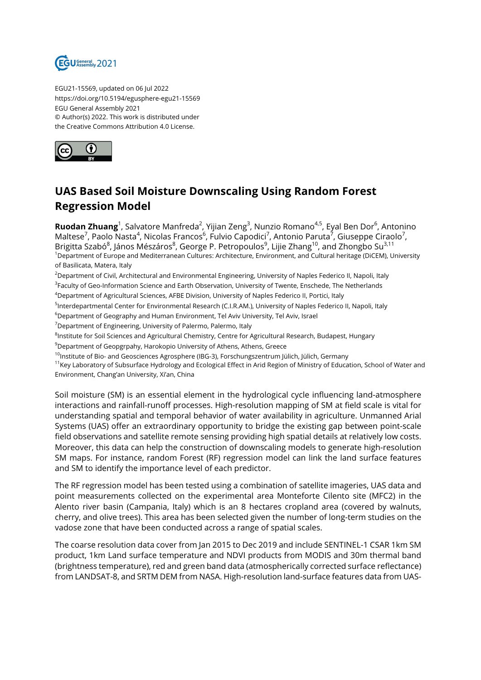

EGU21-15569, updated on 06 Jul 2022 https://doi.org/10.5194/egusphere-egu21-15569 EGU General Assembly 2021 © Author(s) 2022. This work is distributed under the Creative Commons Attribution 4.0 License.



## **UAS Based Soil Moisture Downscaling Using Random Forest Regression Model**

**Ruodan Zhuang**<sup>1</sup>, Salvatore Manfreda<sup>2</sup>, Yijian Zeng<sup>3</sup>, Nunzio Romano<sup>4,5</sup>, Eyal Ben Dor<sup>6</sup>, Antonino Maltese<sup>7</sup>, Paolo Nasta<sup>4</sup>, Nicolas Francos<sup>6</sup>, Fulvio Capodici<sup>7</sup>, Antonio Paruta<sup>7</sup>, Giuseppe Ciraolo<sup>7</sup>, Brigitta Szabó<sup>8</sup>, János Mészáros<sup>8</sup>, George P. Petropoulos<sup>9</sup>, Lijie Zhang<sup>10</sup>, and Zhongbo Su<sup>3,11</sup> <sup>1</sup>Department of Europe and Mediterranean Cultures: Architecture, Environment, and Cultural heritage (DiCEM), University of Basilicata, Matera, Italy

<sup>2</sup>Department of Civil, Architectural and Environmental Engineering, University of Naples Federico II, Napoli, Italy <sup>3</sup>Faculty of Geo-Information Science and Earth Observation, University of Twente, Enschede, The Netherlands

<sup>4</sup>Department of Agricultural Sciences, AFBE Division, University of Naples Federico II, Portici, Italy <sup>5</sup>lnterdepartmental Center for Environmental Research (C.I.R.AM.), University of Naples Federico II, Napoli, Italy

 $6D$ epartment of Geography and Human Environment, Tel Aviv University, Tel Aviv, Israel

<sup>7</sup>Department of Engineering, University of Palermo, Palermo, Italy

 $^8$ Institute for Soil Sciences and Agricultural Chemistry, Centre for Agricultural Research, Budapest, Hungary

<sup>9</sup>Department of Geopgrpahy, Harokopio University of Athens, Athens, Greece

 $10$ Institute of Bio- and Geosciences Agrosphere (IBG-3), Forschungszentrum Jülich, Jülich, Germany

<sup>11</sup>Key Laboratory of Subsurface Hydrology and Ecological Effect in Arid Region of Ministry of Education, School of Water and Environment, Chang'an University, Xi'an, China

Soil moisture (SM) is an essential element in the hydrological cycle influencing land-atmosphere interactions and rainfall-runoff processes. High-resolution mapping of SM at field scale is vital for understanding spatial and temporal behavior of water availability in agriculture. Unmanned Arial Systems (UAS) offer an extraordinary opportunity to bridge the existing gap between point-scale field observations and satellite remote sensing providing high spatial details at relatively low costs. Moreover, this data can help the construction of downscaling models to generate high-resolution SM maps. For instance, random Forest (RF) regression model can link the land surface features and SM to identify the importance level of each predictor.

The RF regression model has been tested using a combination of satellite imageries, UAS data and point measurements collected on the experimental area Monteforte Cilento site (MFC2) in the Alento river basin (Campania, Italy) which is an 8 hectares cropland area (covered by walnuts, cherry, and olive trees). This area has been selected given the number of long-term studies on the vadose zone that have been conducted across a range of spatial scales.

The coarse resolution data cover from Jan 2015 to Dec 2019 and include SENTINEL-1 CSAR 1km SM product, 1km Land surface temperature and NDVI products from MODIS and 30m thermal band (brightness temperature), red and green band data (atmospherically corrected surface reflectance) from LANDSAT-8, and SRTM DEM from NASA. High-resolution land-surface features data from UAS-